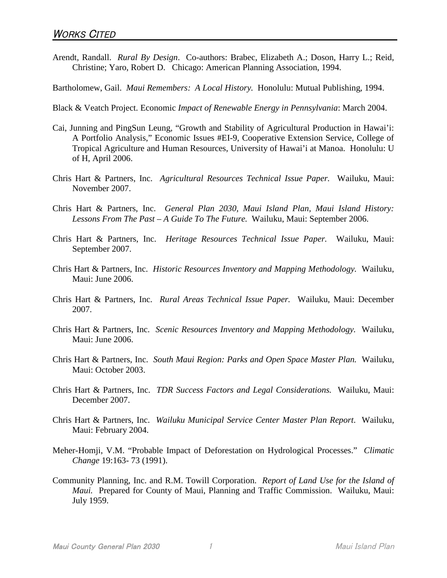- Arendt, Randall. *Rural By Design*. Co-authors: Brabec, Elizabeth A.; Doson, Harry L.; Reid, Christine; Yaro, Robert D. Chicago: American Planning Association, 1994.
- Bartholomew, Gail. *Maui Remembers: A Local History.* Honolulu: Mutual Publishing, 1994.
- Black & Veatch Project. Economic *Impact of Renewable Energy in Pennsylvania*: March 2004.
- Cai, Junning and PingSun Leung, "Growth and Stability of Agricultural Production in Hawai'i: A Portfolio Analysis," Economic Issues #EI-9, Cooperative Extension Service, College of Tropical Agriculture and Human Resources, University of Hawai'i at Manoa. Honolulu: U of H, April 2006.
- Chris Hart & Partners, Inc. *Agricultural Resources Technical Issue Paper.* Wailuku, Maui: November 2007.
- Chris Hart & Partners, Inc. *General Plan 2030, Maui Island Plan, Maui Island History: Lessons From The Past – A Guide To The Future.* Wailuku, Maui: September 2006.
- Chris Hart & Partners, Inc. *Heritage Resources Technical Issue Paper.* Wailuku, Maui: September 2007.
- Chris Hart & Partners, Inc. *Historic Resources Inventory and Mapping Methodology.* Wailuku, Maui: June 2006.
- Chris Hart & Partners, Inc. *Rural Areas Technical Issue Paper.* Wailuku, Maui: December 2007.
- Chris Hart & Partners, Inc. *Scenic Resources Inventory and Mapping Methodology.* Wailuku, Maui: June 2006.
- Chris Hart & Partners, Inc. *South Maui Region: Parks and Open Space Master Plan.* Wailuku, Maui: October 2003.
- Chris Hart & Partners, Inc. *TDR Success Factors and Legal Considerations.* Wailuku, Maui: December 2007.
- Chris Hart & Partners, Inc. *Wailuku Municipal Service Center Master Plan Report*. Wailuku, Maui: February 2004.
- Meher-Homji, V.M. "Probable Impact of Deforestation on Hydrological Processes." *Climatic Change* 19:163- 73 (1991).
- Community Planning, Inc. and R.M. Towill Corporation. *Report of Land Use for the Island of Maui.* Prepared for County of Maui, Planning and Traffic Commission. Wailuku, Maui: July 1959.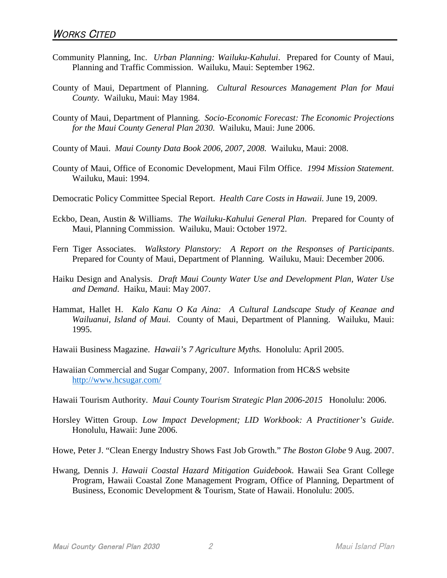- Community Planning, Inc. *Urban Planning: Wailuku-Kahului*. Prepared for County of Maui, Planning and Traffic Commission. Wailuku, Maui: September 1962.
- County of Maui, Department of Planning. *Cultural Resources Management Plan for Maui County.* Wailuku, Maui: May 1984.
- County of Maui, Department of Planning. *Socio-Economic Forecast: The Economic Projections for the Maui County General Plan 2030.* Wailuku, Maui: June 2006.
- County of Maui. *Maui County Data Book 2006, 2007, 2008.* Wailuku, Maui: 2008.
- County of Maui, Office of Economic Development, Maui Film Office. *1994 Mission Statement.* Wailuku, Maui: 1994.
- Democratic Policy Committee Special Report. *Health Care Costs in Hawaii.* June 19, 2009.
- Eckbo, Dean, Austin & Williams. *The Wailuku-Kahului General Plan*. Prepared for County of Maui, Planning Commission. Wailuku, Maui: October 1972.
- Fern Tiger Associates. *Walkstory Planstory: A Report on the Responses of Participants*. Prepared for County of Maui, Department of Planning. Wailuku, Maui: December 2006.
- Haiku Design and Analysis. *Draft Maui County Water Use and Development Plan, Water Use and Demand*. Haiku, Maui: May 2007.
- Hammat, Hallet H. *Kalo Kanu O Ka Aina: A Cultural Landscape Study of Keanae and Wailuanui, Island of Maui.* County of Maui, Department of Planning. Wailuku, Maui: 1995.
- Hawaii Business Magazine. *Hawaii's 7 Agriculture Myths.* Honolulu: April 2005.
- Hawaiian Commercial and Sugar Company, 2007. Information from HC&S website <http://www.hcsugar.com/>
- Hawaii Tourism Authority. *Maui County Tourism Strategic Plan 2006-2015* Honolulu: 2006.
- Horsley Witten Group. *Low Impact Development; LID Workbook: A Practitioner's Guide*. Honolulu, Hawaii: June 2006.
- Howe, Peter J. "Clean Energy Industry Shows Fast Job Growth." *The Boston Globe* 9 Aug. 2007.
- Hwang, Dennis J. *Hawaii Coastal Hazard Mitigation Guidebook*. Hawaii Sea Grant College Program, Hawaii Coastal Zone Management Program, Office of Planning, Department of Business, Economic Development & Tourism, State of Hawaii. Honolulu: 2005.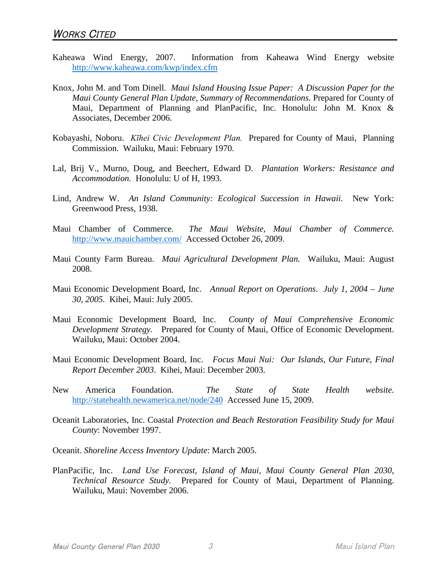- [Kaheawa Wind Energy, 2007. Information from Kaheawa Wind Energy website](http://www.kaheawa.com/kwp/index.cfm) <http://www.kaheawa.com/kwp/index.cfm>
- Knox, John M. and Tom Dinell. *Maui Island Housing Issue Paper: A Discussion Paper for the Maui County General Plan Update, Summary of Recommendations.* Prepared for County of Maui, Department of Planning and PlanPacific, Inc. Honolulu: John M. Knox & Associates, December 2006.
- Kobayashi, Noboru. *Kīhei Civic Development Plan.* Prepared for County of Maui, Planning Commission. Wailuku, Maui: February 1970.
- Lal, Brij V., Murno, Doug, and Beechert, Edward D. *Plantation Workers: Resistance and Accommodation.* Honolulu: U of H, 1993.
- Lind, Andrew W. *An Island Community: Ecological Succession in Hawaii.* New York: Greenwood Press, 1938.
- Maui Chamber of Commerce. *[The Maui Website, Maui Chamber of Commerce.](http://www.mauichamber.com/)* <http://www.mauichamber.com/> Accessed October 26, 2009.
- Maui County Farm Bureau. *Maui Agricultural Development Plan.* Wailuku, Maui: August 2008.
- Maui Economic Development Board, Inc. *Annual Report on Operations*. *July 1, 2004 June 30, 2005.* Kihei, Maui: July 2005.
- Maui Economic Development Board, Inc. *County of Maui Comprehensive Economic Development Strategy.* Prepared for County of Maui, Office of Economic Development. Wailuku, Maui: October 2004.
- Maui Economic Development Board, Inc. *Focus Maui Nui: Our Islands, Our Future, Final Report December 2003*. Kihei, Maui: December 2003.
- New America Foundation. *[The State of State Health website.](http://statehealth.newamerica.net/node/240)* <http://statehealth.newamerica.net/node/240> Accessed June 15, 2009.
- Oceanit Laboratories, Inc. Coastal *Protection and Beach Restoration Feasibility Study for Maui County*: November 1997.

Oceanit. *Shoreline Access Inventory Update*: March 2005.

PlanPacific, Inc. *Land Use Forecast, Island of Maui, Maui County General Plan 2030, Technical Resource Study.* Prepared for County of Maui, Department of Planning. Wailuku, Maui: November 2006.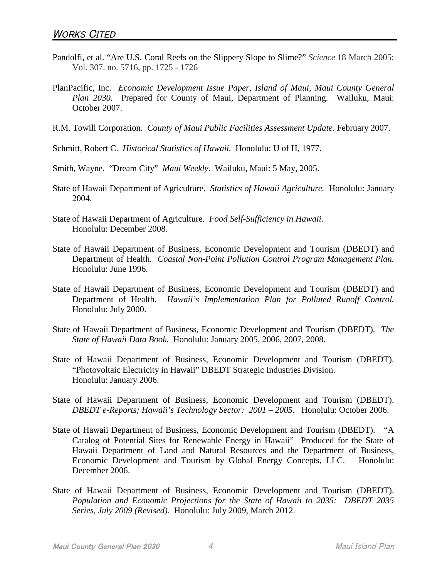- Pandolfi, et al. "Are U.S. Coral Reefs on the Slippery Slope to Slime?" *Science* 18 March 2005: Vol. 307. no. 5716, pp. 1725 - 1726
- PlanPacific, Inc. *Economic Development Issue Paper, Island of Maui, Maui County General Plan 2030.* Prepared for County of Maui, Department of Planning. Wailuku, Maui: October 2007.
- R.M. Towill Corporation. *County of Maui Public Facilities Assessment Update*. February 2007.

Schmitt, Robert C. *Historical Statistics of Hawaii.* Honolulu: U of H, 1977.

- Smith, Wayne. "Dream City" *Maui Weekly*. Wailuku, Maui: 5 May, 2005.
- State of Hawaii Department of Agriculture. *Statistics of Hawaii Agriculture.* Honolulu: January 2004.
- State of Hawaii Department of Agriculture. *Food Self-Sufficiency in Hawaii.* Honolulu: December 2008.
- State of Hawaii Department of Business, Economic Development and Tourism (DBEDT) and Department of Health. *Coastal Non-Point Pollution Control Program Management Plan.* Honolulu: June 1996.
- State of Hawaii Department of Business, Economic Development and Tourism (DBEDT) and Department of Health. *Hawaii's Implementation Plan for Polluted Runoff Control.* Honolulu: July 2000.
- State of Hawaii Department of Business, Economic Development and Tourism (DBEDT). *The State of Hawaii Data Book.* Honolulu: January 2005, 2006, 2007, 2008.
- State of Hawaii Department of Business, Economic Development and Tourism (DBEDT). "Photovoltaic Electricity in Hawaii" DBEDT Strategic Industries Division. Honolulu: January 2006.
- State of Hawaii Department of Business, Economic Development and Tourism (DBEDT). *DBEDT e-Reports; Hawaii's Technology Sector: 2001 – 2005*. Honolulu: October 2006.
- State of Hawaii Department of Business, Economic Development and Tourism (DBEDT). "A Catalog of Potential Sites for Renewable Energy in Hawaii" Produced for the State of Hawaii Department of Land and Natural Resources and the Department of Business, Economic Development and Tourism by Global Energy Concepts, LLC. Honolulu: December 2006.
- State of Hawaii Department of Business, Economic Development and Tourism (DBEDT). *Population and Economic Projections for the State of Hawaii to 2035: DBEDT 2035 Series, July 2009 (Revised).* Honolulu: July 2009, March 2012.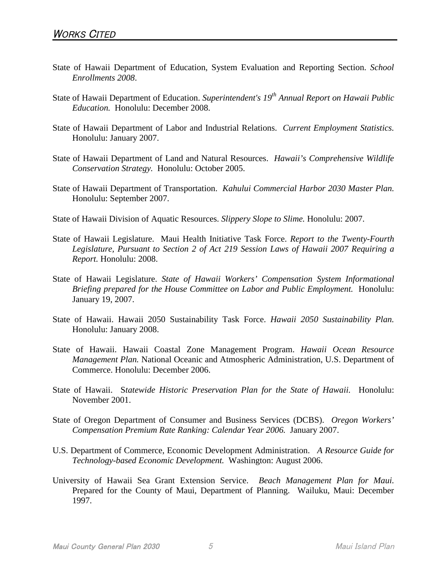- State of Hawaii Department of Education, System Evaluation and Reporting Section. *School Enrollments 2008*.
- State of Hawaii Department of Education. *Superintendent's 19th Annual Report on Hawaii Public Education.* Honolulu: December 2008.
- State of Hawaii Department of Labor and Industrial Relations. *Current Employment Statistics.* Honolulu: January 2007.
- State of Hawaii Department of Land and Natural Resources. *Hawaii's Comprehensive Wildlife Conservation Strategy.* Honolulu: October 2005.
- State of Hawaii Department of Transportation. *Kahului Commercial Harbor 2030 Master Plan.* Honolulu: September 2007.
- State of Hawaii Division of Aquatic Resources. *Slippery Slope to Slime.* Honolulu: 2007.
- State of Hawaii Legislature. Maui Health Initiative Task Force. *Report to the Twenty-Fourth Legislature, Pursuant to Section 2 of Act 219 Session Laws of Hawaii 2007 Requiring a Report.* Honolulu: 2008.
- State of Hawaii Legislature. *State of Hawaii Workers' Compensation System Informational Briefing prepared for the House Committee on Labor and Public Employment.* Honolulu: January 19, 2007.
- State of Hawaii. Hawaii 2050 Sustainability Task Force. *Hawaii 2050 Sustainability Plan.* Honolulu: January 2008.
- State of Hawaii. Hawaii Coastal Zone Management Program. *Hawaii Ocean Resource Management Plan.* National Oceanic and Atmospheric Administration, U.S. Department of Commerce. Honolulu: December 2006.
- State of Hawaii. S*tatewide Historic Preservation Plan for the State of Hawaii.* Honolulu: November 2001.
- State of Oregon Department of Consumer and Business Services (DCBS). *Oregon Workers' Compensation Premium Rate Ranking: Calendar Year 2006.* January 2007.
- U.S. Department of Commerce, Economic Development Administration. *A Resource Guide for Technology-based Economic Development.* Washington: August 2006.
- University of Hawaii Sea Grant Extension Service. *Beach Management Plan for Maui.* Prepared for the County of Maui, Department of Planning. Wailuku, Maui: December 1997.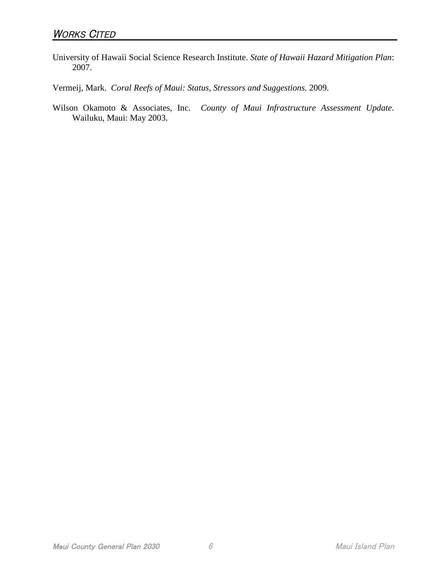University of Hawaii Social Science Research Institute. *State of Hawaii Hazard Mitigation Plan*: 2007.

Vermeij, Mark. *Coral Reefs of Maui: Status, Stressors and Suggestions.* 2009.

Wilson Okamoto & Associates, Inc. *County of Maui Infrastructure Assessment Update*. Wailuku, Maui: May 2003.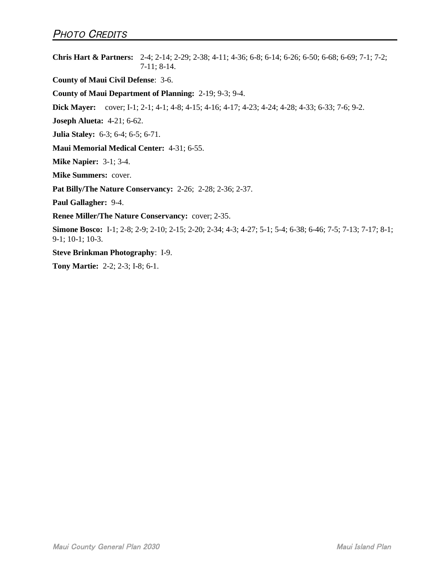**Chris Hart & Partners:** 2-4; 2-14; 2-29; 2-38; 4-11; 4-36; 6-8; 6-14; 6-26; 6-50; 6-68; 6-69; 7-1; 7-2; 7-11; 8-14.

**County of Maui Civil Defense**: 3-6.

**County of Maui Department of Planning:** 2-19; 9-3; 9-4.

**Dick Mayer:** cover; I-1; 2-1; 4-1; 4-8; 4-15; 4-16; 4-17; 4-23; 4-24; 4-28; 4-33; 6-33; 7-6; 9-2.

**Joseph Alueta:** 4-21; 6-62.

**Julia Staley:** 6-3; 6-4; 6-5; 6-71.

**Maui Memorial Medical Center:** 4-31; 6-55.

**Mike Napier:** 3-1; 3-4.

**Mike Summers:** cover.

**Pat Billy/The Nature Conservancy:** 2-26; 2-28; 2-36; 2-37.

**Paul Gallagher:** 9-4.

**Renee Miller/The Nature Conservancy:** cover; 2-35.

**Simone Bosco:** I-1; 2-8; 2-9; 2-10; 2-15; 2-20; 2-34; 4-3; 4-27; 5-1; 5-4; 6-38; 6-46; 7-5; 7-13; 7-17; 8-1; 9-1; 10-1; 10-3.

**Steve Brinkman Photography**: I-9.

**Tony Martie:** 2-2; 2-3; I-8; 6-1.